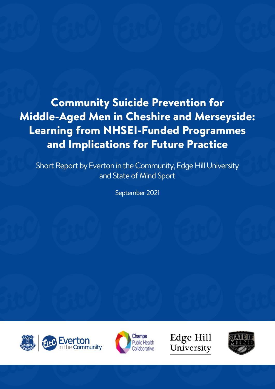Community Suicide Prevention for Middle-Aged Men in Cheshire and Merseyside: Learning from NHSEI-Funded Programmes and Implications for Future Practice

Short Report by Everton in the Community, Edge Hill University and State of Mind Sport

September 2021





**Edge Hill** University

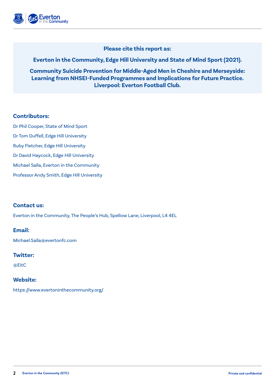

#### **Please cite this report as:**

### **Everton in the Community, Edge Hill University and State of Mind Sport (2021).**

**Community Suicide Prevention for Middle-Aged Men in Cheshire and Merseyside: Learning from NHSEI-Funded Programmes and Implications for Future Practice. Liverpool: Everton Football Club.**

#### **Contributors:**

Dr Phil Cooper, State of Mind Sport Dr Tom Duffell, Edge Hill University Ruby Fletcher, Edge Hill University Dr David Haycock, Edge Hill University Michael Salla, Everton in the Community Professor Andy Smith, Edge Hill University

### **Contact us:**

Everton in the Community, The People's Hub, Spellow Lane, Liverpool, L4 4EL

#### **Email:**

Michael.Salla@evertonfc.com

#### **Twitter:**

@EitC

### **Website:**

https://www.evertoninthecommunity.org/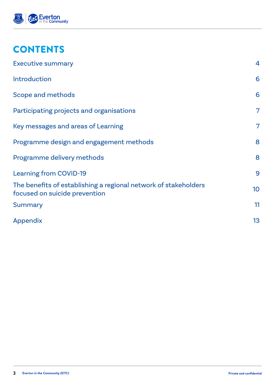

# **CONTENTS**

| <b>Executive summary</b>                                                                         | $\overline{4}$ |
|--------------------------------------------------------------------------------------------------|----------------|
| <b>Introduction</b>                                                                              | 6              |
| Scope and methods                                                                                | 6              |
| Participating projects and organisations                                                         | 7              |
| Key messages and areas of Learning                                                               | $\overline{7}$ |
| Programme design and engagement methods                                                          | 8              |
| Programme delivery methods                                                                       | 8              |
| <b>Learning from COVID-19</b>                                                                    | 9              |
| The benefits of establishing a regional network of stakeholders<br>focused on suicide prevention | 10             |
| <b>Summary</b>                                                                                   | 11             |
| Appendix                                                                                         | 13             |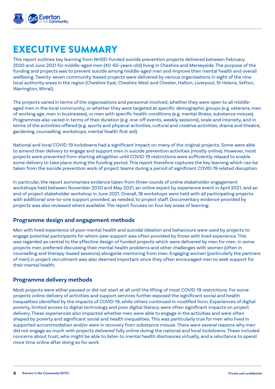

## EXECUTIVE SUMMARY

This report outlines key learning from NHSEI-funded suicide prevention projects delivered between February 2020 and June 2021 for middle-aged men (40-60-years-old) living in Cheshire and Merseyside. The purpose of the funding and projects was to prevent suicide among middle-aged men and improve their mental health and overall wellbeing. Twenty-seven community-based projects were delivered by various organisations in eight of the nine local authority areas in the region (Cheshire East, Cheshire West and Chester, Halton, Liverpool, St Helens, Sefton, Warrington, Wirral).

The projects varied in terms of the organisations and personnel involved, whether they were open to all middleaged men in the local community, or whether they were targeted at specific demographic groups (e.g. veterans, men of working age, men in businesses), or men with specific health conditions (e.g. mental illness, substance misuse). Programmes also varied in terms of their duration (e.g. one-off events, weekly sessions), scale and intensity, and in terms of the activities offered (e.g. sports and physical activities, cultural and creative activities, drama and theatre, gardening, counselling, workshops, mental health first aid).

National and local COVID-19 lockdowns had a significant impact on many of the original projects. Some were able to amend their delivery to engage and support men in suicide prevention activities (mostly online). However, most projects were prevented from starting altogether until COVID-19 restrictions were sufficiently relaxed to enable some delivery to take place during the funding period. This report therefore captures the key learning which can be taken from the suicide prevention work of project teams during a period of significant COVID-19 related disruption.

In particular, the report summarises evidence taken from three rounds of online stakeholder engagement workshops held between November 2020 and May 2021, an online expert by experience event in April 2021, and an end of project stakeholder workshop in June 2021. Overall, 18 workshops were held with all participating projects with additional one-to-one support provided, as needed, to project staff. Documentary evidence provided by projects was also reviewed where available. The report focuses on four key areas of learning:

### **Programme design and engagement methods**

Men with lived experience of poor mental health and suicidal ideation and behaviours were used by projects to engage potential participants for whom peer support was often provided by those with lived experience. This was regarded as central to the effective design of funded projects which were delivered by men for men. In some projects men preferred discussing their mental health problems and other challenges with women (often in counselling and therapy-based sessions) alongside mentoring from men. Engaging women (particularly the partners of men) in project recruitment was also deemed important since they often encouraged men to seek support for their mental health.

#### **Programme delivery methods**

Most projects were either paused or did not start at all until the lifting of most COVID-19 restrictions. For some projects online delivery of activities and support services further exposed the significant social and health inequalities identified by the impacts of COVID-19, while others continued in modified form. Experiences of digital poverty, limited access to digital technology and poor digital literacy were often significant impacts on project delivery. These experiences also impacted whether men were able to engage in the activities and were often shaped by poverty and significant social and health inequalities. This was particularly true for men who lived in supported accommodation and/or were in recovery from substance misuse. There were several reasons why men did not engage as much with projects delivered fully online during the national and local lockdowns. These included concerns about trust, who might be able to listen to mental health disclosures virtually, and a reluctance to spend more time online after doing so for work.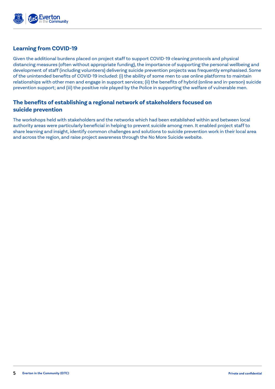

### **Learning from COVID-19**

Given the additional burdens placed on project staff to support COVID-19 cleaning protocols and physical distancing measures (often without appropriate funding), the importance of supporting the personal wellbeing and development of staff (including volunteers) delivering suicide prevention projects was frequently emphasised. Some of the unintended benefits of COVID-19 included: (i) the ability of some men to use online platforms to maintain relationships with other men and engage in support services; (ii) the benefits of hybrid (online and in-person) suicide prevention support; and (iii) the positive role played by the Police in supporting the welfare of vulnerable men.

### **The benefits of establishing a regional network of stakeholders focused on suicide prevention**

The workshops held with stakeholders and the networks which had been established within and between local authority areas were particularly beneficial in helping to prevent suicide among men. It enabled project staff to share learning and insight, identify common challenges and solutions to suicide prevention work in their local area and across the region, and raise project awareness through the No More Suicide website.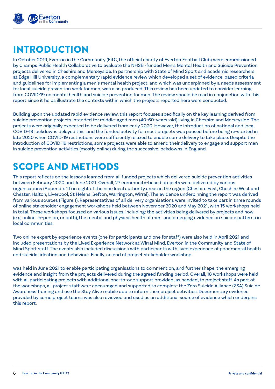

# INTRODUCTION

In October 2019, Everton in the Community (EitC, the official charity of Everton Football Club) were commissioned by Champs Public Health Collaborative to evaluate the NHSEI-funded Men's Mental Health and Suicide Prevention projects delivered in Cheshire and Merseyside. In partnership with State of Mind Sport and academic researchers at Edge Hill University, a complementary rapid evidence review which developed a set of evidence-based criteria and guidelines for implementing a men's mental health project, and which was underpinned by a needs assessment for local suicide prevention work for men, was also produced. This review has been updated to consider learning from COVID-19 on mental health and suicide prevention for men. The review should be read in conjunction with this report since it helps illustrate the contexts within which the projects reported here were conducted.

Building upon the updated rapid evidence review, this report focuses specifically on the key learning derived from suicide prevention projects intended for middle-aged men (40-60-years-old) living in Cheshire and Merseyside. The projects were originally expected to be delivered from early 2020. However, the introduction of national and local COVID-19 lockdowns delayed this, and the funded activity for most projects was paused before being re-started in late 2020 when COVID-19 restrictions were sufficiently relaxed to enable some delivery to take place. Despite the introduction of COVID-19 restrictions, some projects were able to amend their delivery to engage and support men in suicide prevention activities (mostly online) during the successive lockdowns in England.

# SCOPE AND METHODS

This report reflects on the lessons learned from all funded projects which delivered suicide prevention activities between February 2020 and June 2021. Overall, 27 community-based projects were delivered by various organisations (Appendix 1.1) in eight of the nine local authority areas in the region (Cheshire East, Cheshire West and Chester, Halton, Liverpool, St Helens, Sefton, Warrington, Wirral). The evidence underpinning the report was derived from various sources (Figure 1). Representatives of all delivery organisations were invited to take part in three rounds of online stakeholder engagement workshops held between November 2020 and May 2021, with 15 workshops held in total. These workshops focused on various issues, including: the activities being delivered by projects and how (e.g. online, in-person, or both), the mental and physical health of men, and emerging evidence on suicide patterns in local communities.

Two online expert by experience events (one for participants and one for staff) were also held in April 2021 and included presentations by the Lived Experience Network at Wirral Mind, Everton in the Community and State of Mind Sport staff. The events also included discussions with participants with lived experience of poor mental health and suicidal ideation and behaviour. Finally, an end of project stakeholder workshop

was held in June 2021 to enable participating organisations to comment on, and further shape, the emerging evidence and insight from the projects delivered during the agreed funding period. Overall, 18 workshops were held with all participating projects with additional one-to-one support provided, as needed, to project staff. As part of the workshops, all project staff were encouraged and supported to complete the Zero Suicide Alliance (ZSA) Suicide Awareness Training and use the Stay Alive mobile app to inform their project activities. Documentary evidence provided by some project teams was also reviewed and used as an additional source of evidence which underpins this report.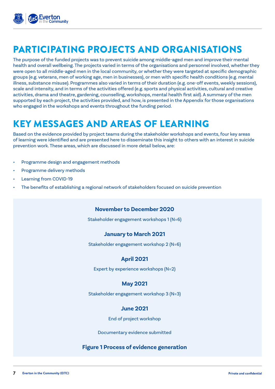

# PARTICIPATING PROJECTS AND ORGANISATIONS

The purpose of the funded projects was to prevent suicide among middle-aged men and improve their mental health and overall wellbeing. The projects varied in terms of the organisations and personnel involved, whether they were open to all middle-aged men in the local community, or whether they were targeted at specific demographic groups (e.g. veterans, men of working age, men in businesses), or men with specific health conditions (e.g. mental illness, substance misuse). Programmes also varied in terms of their duration (e.g. one-off events, weekly sessions), scale and intensity, and in terms of the activities offered (e.g. sports and physical activities, cultural and creative activities, drama and theatre, gardening, counselling, workshops, mental health first aid). A summary of the men supported by each project, the activities provided, and how, is presented in the Appendix for those organisations who engaged in the workshops and events throughout the funding period.

# KEY MESSAGES AND AREAS OF LEARNING

Based on the evidence provided by project teams during the stakeholder workshops and events, four key areas of learning were identified and are presented here to disseminate this insight to others with an interest in suicide prevention work. These areas, which are discussed in more detail below, are:

- Programme design and engagement methods
- Programme delivery methods
- Learning from COVID-19
- The benefits of establishing a regional network of stakeholders focused on suicide prevention

#### **November to December 2020**

Stakeholder engagement workshops 1 (N=6)

#### **January to March 2021**

Stakeholder engagement workshop 2 (N=6)

### **April 2021**

Expert by experience workshops (N=2)

### **May 2021**

Stakeholder engagement workshop 3 (N=3)

### **June 2021**

End of project workshop

Documentary evidence submitted

#### **Figure 1 Process of evidence generation**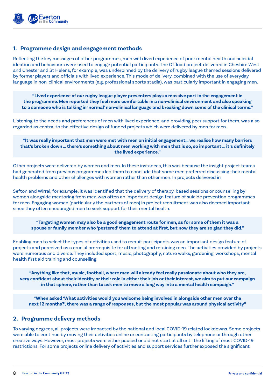

#### **1. Programme design and engagement methods**

Reflecting the key messages of other programmes, men with lived experience of poor mental health and suicidal ideation and behaviours were used to engage potential participants. The Offload project delivered in Cheshire West and Chester and St Helens, for example, was underpinned by the delivery of rugby league themed sessions delivered by former players and officials with lived experience. This mode of delivery, combined with the use of everyday language in non-clinical environments (e.g. professional sports stadia), was particularly important in engaging men.

**"Lived experience of our rugby league player presenters plays a massive part in the engagement in the programme. Men reported they feel more comfortable in a non-clinical environment and also speaking to a someone who is talking in 'normal' non-clinical language and breaking down some of the clinical terms."**

Listening to the needs and preferences of men with lived experience, and providing peer support for them, was also regarded as central to the effective design of funded projects which were delivered by men for men.

**"It was really important that men were met with men on initial engagement… we realise how many barriers that's broken down … there's something about men working with men that is so, so important … it's definitely the lived experience."**

Other projects were delivered by women and men. In these instances, this was because the insight project teams had generated from previous programmes led them to conclude that some men preferred discussing their mental health problems and other challenges with women rather than other men. In projects delivered in

Sefton and Wirral, for example, it was identified that the delivery of therapy-based sessions or counselling by women alongside mentoring from men was often an important design feature of suicide prevention programmes for men. Engaging women (particularly the partners of men) in project recruitment was also deemed important since they often encouraged men to seek support for their mental health.

**"Targeting women may also be a good engagement route for men, as for some of them it was a spouse or family member who 'pestered' them to attend at first, but now they are so glad they did."**

Enabling men to select the types of activities used to recruit participants was an important design feature of projects and perceived as a crucial pre-requisite for attracting and retaining men. The activities provided by projects were numerous and diverse. They included sport, music, photography, nature walks, gardening, workshops, mental health first aid training and counselling.

**"Anything like that, music, football, where men will already feel really passionate about who they are, very confident about their identity or their role in either their job or their interest, we aim to put our campaign in that sphere, rather than to ask men to move a long way into a mental health campaign."**

**"When asked 'What activities would you welcome being involved in alongside other men over the next 12 months?', there was a range of responses, but the most popular was around physical activity"**

#### **2. Programme delivery methods**

To varying degrees, all projects were impacted by the national and local COVID-19 related lockdowns. Some projects were able to continue by moving their activities online or contacting participants by telephone or through other creative ways. However, most projects were either paused or did not start at all until the lifting of most COVID-19 restrictions. For some projects online delivery of activities and support services further exposed the significant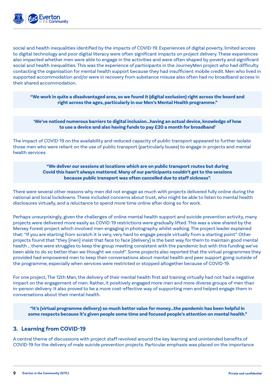

social and health inequalities identified by the impacts of COVID-19. Experiences of digital poverty, limited access to digital technology and poor digital literacy were often significant impacts on project delivery. These experiences also impacted whether men were able to engage in the activities and were often shaped by poverty and significant social and health inequalities. This was the experience of participants in the JourneyMen project who had difficulty contacting the organisation for mental health support because they had insufficient mobile credit. Men who lived in supported accommodation and/or were in recovery from substance misuse also often had no broadband access in their shared accommodation.

**"We work in quite a disadvantaged area, so we found it (digital exclusion) right across the board and right across the ages, particularly in our Men's Mental Health programme."**

#### **'We've noticed numerous barriers to digital inclusion…having an actual device, knowledge of how to use a device and also having funds to pay £20 a month for broadband'**

The impact of COVID-19 on the availability and reduced capacity of public transport appeared to further isolate those men who were reliant on the use of public transport (particularly buses) to engage in projects and mental health services.

#### **"We deliver our sessions at locations which are on public transport routes but during Covid this hasn't always mattered. Many of our participants couldn't get to the sessions because public transport was often cancelled due to staff sickness".**

There were several other reasons why men did not engage as much with projects delivered fully online during the national and local lockdowns. These included concerns about trust, who might be able to listen to mental health disclosures virtually, and a reluctance to spend more time online after doing so for work.

Perhaps unsurprisingly, given the challenges of online mental health support and suicide prevention activity, many projects were delivered more easily as COVID-19 restrictions were gradually lifted. This was a view shared by the Mersey Forest project which involved men engaging in photography whilst walking. The project leader explained that: "If you are starting from scratch it is very, very hard to engage people virtually from a starting point". Other projects found that "they [men] insist that face to face [delivery] is the best way for them to maintain good mental health … there were struggles to keep the group meeting consistent with the pandemic but with this funding we've been able to do so better than we thought we could". Some projects also reported that the virtual programmes they provided had empowered men to keep their conversations about mental health and peer support going outside of the programme, especially when services were restricted or stopped altogether because of COVID-19.

For one project, The 12th Man, the delivery of their mental health first aid training virtually had not had a negative impact on the engagement of men. Rather, it positively engaged more men and more diverse groups of men than in-person delivery. It also proved to be a more cost-effective way of supporting men and helped engage them in conversations about their mental health.

**"It's (virtual programme delivery) so much better value for money…the pandemic has been helpful in some respects because it's given people some time and focused people's attention on mental health."**

### **3. Learning from COVID-19**

A central theme of discussions with project staff revolved around the key learning and unintended benefits of COVID-19 for the delivery of male suicide prevention projects. Particular emphasis was placed on the importance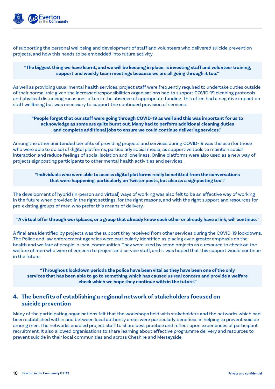

of supporting the personal wellbeing and development of staff and volunteers who delivered suicide prevention projects, and how this needs to be embedded into future activity.

#### **"The biggest thing we have learnt, and we will be keeping in place, is investing staff and volunteer training, support and weekly team meetings because we are all going through it too."**

As well as providing usual mental health services, project staff were frequently required to undertake duties outside of their normal role given the increased responsibilities organisations had to support COVID-19 cleaning protocols and physical distancing measures, often in the absence of appropriate funding. This often had a negative impact on staff wellbeing but was necessary to support the continued provision of services.

#### **"People forget that our staff were going through COVID-19 as well and this was important for us to acknowledge as some are quite burnt out. Many had to perform additional cleaning duties and complete additional jobs to ensure we could continue delivering services."**

Among the other unintended benefits of providing projects and services during COVID-19 was the use (for those who were able to do so) of digital platforms, particularly social media, as supportive tools to maintain social interaction and reduce feelings of social isolation and loneliness. Online platforms were also used as a new way of projects signposting participants to other mental health activities and services.

#### **"Individuals who were able to access digital platforms really benefitted from the conversations that were happening, particularly on Twitter posts, but also as a signposting tool."**

The development of hybrid (in-person and virtual) ways of working was also felt to be an effective way of working in the future when provided in the right settings, for the right reasons, and with the right support and resources for pre-existing groups of men who prefer this means of delivery.

#### **"A virtual offer through workplaces, or a group that already know each other or already have a link, will continue."**

A final area identified by projects was the support they received from other services during the COVID-19 lockdowns. The Police and law enforcement agencies were particularly identified as placing even greater emphasis on the health and welfare of people in local communities. They were used by some projects as a resource to check on the welfare of men who were of concern to project and service staff, and it was hoped that this support would continue in the future.

**"Throughout lockdown periods the police have been vital as they have been one of the only services that has been able to go to something which has caused us real concern and provide a welfare check which we hope they continue with in the future."** 

### **4. The benefits of establishing a regional network of stakeholders focused on suicide prevention**

Many of the participating organisations felt that the workshops held with stakeholders and the networks which had been established within and between local authority areas were particularly beneficial in helping to prevent suicide among men. The networks enabled project staff to share best practice and reflect upon experiences of participant recruitment. It also allowed organisations to share learning about effective programme delivery and resources to prevent suicide in their local communities and across Cheshire and Merseyside.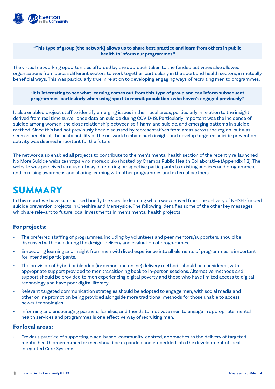

#### **"This type of group [the network] allows us to share best practice and learn from others in public health to inform our programmes."**

The virtual networking opportunities afforded by the approach taken to the funded activities also allowed organisations from across different sectors to work together, particularly in the sport and health sectors, in mutually beneficial ways. This was particularly true in relation to developing engaging ways of recruiting men to programmes.

**"It is interesting to see what learning comes out from this type of group and can inform subsequent programmes, particularly when using sport to recruit populations who haven't engaged previously."**

It also enabled project staff to identify emerging issues in their local areas, particularly in relation to the insight derived from real time surveillance data on suicide during COVID-19. Particularly important was the incidence of suicide among women, the close relationship between self-harm and suicide, and emerging patterns in suicide method. Since this had not previously been discussed by representatives from areas across the region, but was seen as beneficial, the sustainability of the network to share such insight and develop targeted suicide prevention activity was deemed important for the future.

The network also enabled all projects to contribute to the men's mental health section of the recently re-launched No More Suicide website [\(https://no-more.co.uk/\)](https://no-more.co.uk/) hosted by Champs Public Health Collaborative (Appendix 1.2). The website was perceived as a useful way of referring prospective participants to existing services and programmes, and in raising awareness and sharing learning with other programmes and external partners.

# **SUMMARY**

In this report we have summarised briefly the specific learning which was derived from the delivery of NHSEI-funded suicide prevention projects in Cheshire and Merseyside. The following identifies some of the other key messages which are relevant to future local investments in men's mental health projects:

### **For projects:**

- The preferred staffing of programmes, including by volunteers and peer mentors/supporters, should be discussed with men during the design, delivery and evaluation of programmes.
- Embedding learning and insight from men with lived experience into all elements of programmes is important for intended participants.
- The provision of hybrid or blended (in-person and online) delivery methods should be considered, with appropriate support provided to men transitioning back to in-person sessions. Alternative methods and support should be provided to men experiencing digital poverty and those who have limited access to digital technology and have poor digital literacy.
- Relevant targeted communication strategies should be adopted to engage men, with social media and other online promotion being provided alongside more traditional methods for those unable to access newer technologies.
- Informing and encouraging partners, families, and friends to motivate men to engage in appropriate mental health services and programmes is one effective way of recruiting men.

#### **For local areas:**

• Previous practice of supporting place-based, community-centred, approaches to the delivery of targeted mental health programmes for men should be expanded and embedded into the development of local Integrated Care Systems.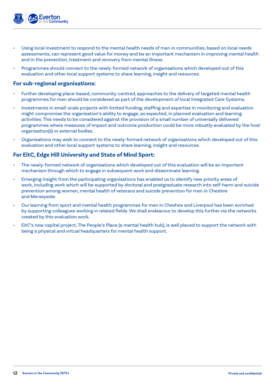

- Using local investment to respond to the mental health needs of men in communities, based on local needs assessments, can represent good value for money and be an important mechanism in improving mental health and in the prevention, treatment and recovery from mental illness.
- Programmes should connect to the newly-formed network of organisations which developed out of this evaluation and other local support systems to share learning, insight and resources.

#### **For sub-regional organisations:**

- Further developing place-based, community-centred, approaches to the delivery of targeted mental health programmes for men should be considered as part of the development of local Integrated Care Systems.
- Investments in small-scale projects with limited funding, staffing and expertise in monitoring and evaluation might compromise the organisation's ability to engage, as expected, in planned evaluation and learning activities. This needs to be considered against the provision of a small number of universally delivered programmes where measures of impact and outcome production could be more robustly evaluated by the host organisation(s) or external bodies.
- Organisations may wish to connect to the newly-formed network of organisations which developed out of this evaluation and other local support systems to share learning, insight and resources.

### **For EitC, Edge Hill University and State of Mind Sport:**

- The newly-formed network of organisations which developed out of this evaluation will be an important mechanism through which to engage in subsequent work and disseminate learning.
- Emerging insight from the participating organisations has enabled us to identify new priority areas of work, including work which will be supported by doctoral and postgraduate research into self-harm and suicide prevention among women, mental health of veterans and suicide prevention for men in Cheshire and Merseyside.
- Our learning from sport and mental health programmes for men in Cheshire and Liverpool has been enriched by supporting colleagues working in related fields. We shall endeavour to develop this further via the networks created by this evaluation work.
- EitC's new capital project, The People's Place (a mental health hub), is well placed to support the network with being a physical and virtual headquarters for mental health support.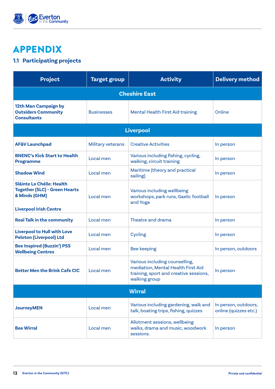

# APPENDIX

## **1.1 Participating projects**

| <b>Project</b>                                                                                                      | <b>Target group</b>      | <b>Activity</b>                                                                                                                 | <b>Delivery method</b>                        |  |
|---------------------------------------------------------------------------------------------------------------------|--------------------------|---------------------------------------------------------------------------------------------------------------------------------|-----------------------------------------------|--|
| <b>Cheshire East</b>                                                                                                |                          |                                                                                                                                 |                                               |  |
| 12th Man Campaign by<br><b>Outsiders Community</b><br><b>Consultants</b>                                            | <b>Businesses</b>        | <b>Mental Health First Aid training</b>                                                                                         | Online                                        |  |
| <b>Liverpool</b>                                                                                                    |                          |                                                                                                                                 |                                               |  |
| <b>AF&amp;V Launchpad</b>                                                                                           | <b>Military veterans</b> | <b>Creative Activities</b>                                                                                                      | In person                                     |  |
| <b>BNENC's Kick Start to Health</b><br><b>Programme</b>                                                             | Local men                | Various including fishing, cycling,<br>walking, circuit training                                                                | In person                                     |  |
| <b>Shadow Wind</b>                                                                                                  | Local men                | Maritime (theory and practical<br>sailing)                                                                                      | In person                                     |  |
| Sláinte Le Chéile: Health<br><b>Together (SLC) - Green Hearts</b><br>& Minds (GHM)<br><b>Liverpool Irish Centre</b> | Local men                | Various including wellbeing<br>workshops, park runs, Gaelic football<br>and Yoga                                                | In person                                     |  |
| <b>Real Talk in the community</b>                                                                                   | Local men                | Theatre and drama                                                                                                               | In person                                     |  |
| <b>Liverpool to Hull with Love</b><br><b>Peloton (Liverpool) Ltd</b>                                                | Local men                | <b>Cycling</b>                                                                                                                  | In person                                     |  |
| <b>Bee Inspired (Buzzin') PSS</b><br><b>Wellbeing Centres</b>                                                       | Local men                | <b>Bee keeping</b>                                                                                                              | In person, outdoors                           |  |
| <b>Better Men the Brink Cafe CIC</b>                                                                                | Local men                | Various including counselling,<br>mediation, Mental Health First Aid<br>training, sport and creative sessions,<br>walking group | In person                                     |  |
| <b>Wirral</b>                                                                                                       |                          |                                                                                                                                 |                                               |  |
| <b>JourneyMEN</b>                                                                                                   | Local men                | Various including gardening, walk and<br>talk, boating trips, fishing, quizzes                                                  | In person, outdoors,<br>online (quizzes etc.) |  |
| <b>Bee Wirral</b>                                                                                                   | Local men                | Allotment sessions, wellbeing<br>walks, drama and music, woodwork<br>sessions.                                                  | In person                                     |  |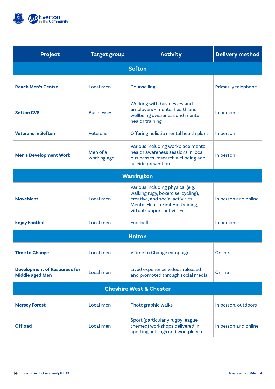

| <b>Project</b>                                                | <b>Target group</b>     | <b>Activity</b>                                                                                                                                                               | <b>Delivery method</b>     |
|---------------------------------------------------------------|-------------------------|-------------------------------------------------------------------------------------------------------------------------------------------------------------------------------|----------------------------|
| <b>Sefton</b>                                                 |                         |                                                                                                                                                                               |                            |
| <b>Reach Men's Centre</b>                                     | Local men               | Counselling                                                                                                                                                                   | <b>Primarily telephone</b> |
| <b>Sefton CVS</b>                                             | <b>Businesses</b>       | Working with businesses and<br>employers - mental health and<br>wellbeing awareness and mental<br>health training                                                             | In person                  |
| <b>Veterans in Sefton</b>                                     | <b>Veterans</b>         | Offering holistic mental health plans                                                                                                                                         | In person                  |
| <b>Men's Development Work</b>                                 | Men of a<br>working age | Various including workplace mental<br>health awareness sessions in local<br>businesses, research wellbeing and<br>suicide prevention                                          | In person                  |
| Warrington                                                    |                         |                                                                                                                                                                               |                            |
| <b>MoveMent</b>                                               | Local men               | Various including physical (e.g.<br>walking rugy, boxercise, cycling),<br>creative, and social activities,<br>Mental Health First Aid training,<br>virtual support activities | In person and online       |
| <b>Enjoy Football</b>                                         | Local men               | Football                                                                                                                                                                      | In person                  |
| <b>Halton</b>                                                 |                         |                                                                                                                                                                               |                            |
| <b>Time to Change</b>                                         | Local men               | VTime to Change campaign                                                                                                                                                      | Online                     |
| <b>Development of Resources for</b><br><b>Middle aged Men</b> | Local men               | Lived experience videos released<br>and promoted through social media                                                                                                         | Online                     |
| <b>Cheshire West &amp; Chester</b>                            |                         |                                                                                                                                                                               |                            |
| <b>Mersey Forest</b>                                          | Local men               | Photographic walks                                                                                                                                                            | In person, outdoors        |
| <b>Offload</b>                                                | Local men               | Sport (particularly rugby league<br>themed) workshops delivered in<br>sporting settings and workplaces                                                                        | In person and online       |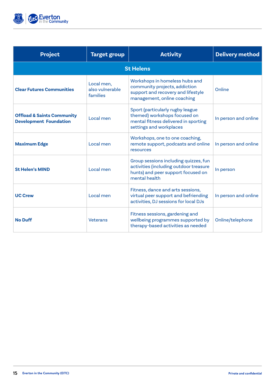

| <b>Project</b>                                                         | <b>Target group</b>                       | <b>Activity</b>                                                                                                                        | <b>Delivery method</b> |
|------------------------------------------------------------------------|-------------------------------------------|----------------------------------------------------------------------------------------------------------------------------------------|------------------------|
| <b>St Helens</b>                                                       |                                           |                                                                                                                                        |                        |
| <b>Clear Futures Communities</b>                                       | Local men,<br>also vulnerable<br>families | Workshops in homeless hubs and<br>community projects, addiction<br>support and recovery and lifestyle<br>management, online coaching   | Online                 |
| <b>Offload &amp; Saints Community</b><br><b>Development Foundation</b> | Local men                                 | Sport (particularly rugby league<br>themed) workshops focused on<br>mental fitness delivered in sporting<br>settings and workplaces    | In person and online   |
| <b>Maximum Edge</b>                                                    | Local men                                 | Workshops, one to one coaching,<br>remote support, podcasts and online<br>resources                                                    | In person and online   |
| <b>St Helen's MIND</b>                                                 | Local men                                 | Group sessions including quizzes, fun<br>activities (including outdoor treasure<br>hunts) and peer support focused on<br>mental health | In person              |
| <b>UC Crew</b>                                                         | Local men                                 | Fitness, dance and arts sessions,<br>virtual peer support and befriending<br>activities, DJ sessions for local DJs                     | In person and online   |
| <b>No Duff</b>                                                         | <b>Veterans</b>                           | Fitness sessions, gardening and<br>wellbeing programmes supported by<br>therapy-based activities as needed                             | Online/telephone       |